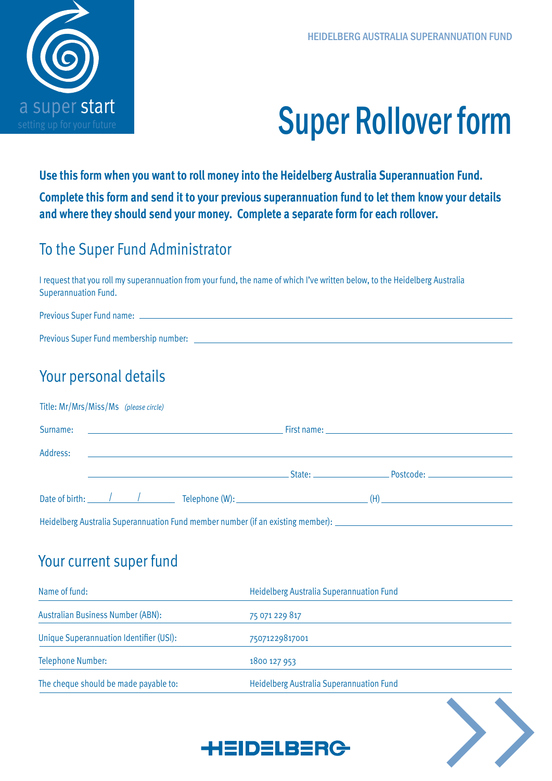

# Super Rollover form

**Use this form when you want to roll money into the Heidelberg Australia Superannuation Fund. Complete this form and send it to your previous superannuation fund to let them know your details and where they should send your money. Complete a separate form for each rollover.**

### To the Super Fund Administrator

I request that you roll my superannuation from your fund, the name of which I've written below, to the Heidelberg Australia Superannuation Fund.

| Previous Super Fund name: _____        |  |
|----------------------------------------|--|
|                                        |  |
| Previous Super Fund membership number: |  |

## Your personal details

| Address: | <u> 1980 - Andrea Station, amerikansk politik (d. 1980)</u> |  |
|----------|-------------------------------------------------------------|--|
|          |                                                             |  |
|          |                                                             |  |

#### Your current super fund

| Name of fund:                            | Heidelberg Australia Superannuation Fund |  |  |
|------------------------------------------|------------------------------------------|--|--|
| <b>Australian Business Number (ABN):</b> | 75 071 229 817                           |  |  |
| Unique Superannuation Identifier (USI):  | 75071229817001                           |  |  |
| Telephone Number:                        | 1800 127 953                             |  |  |
| The cheque should be made payable to:    | Heidelberg Australia Superannuation Fund |  |  |